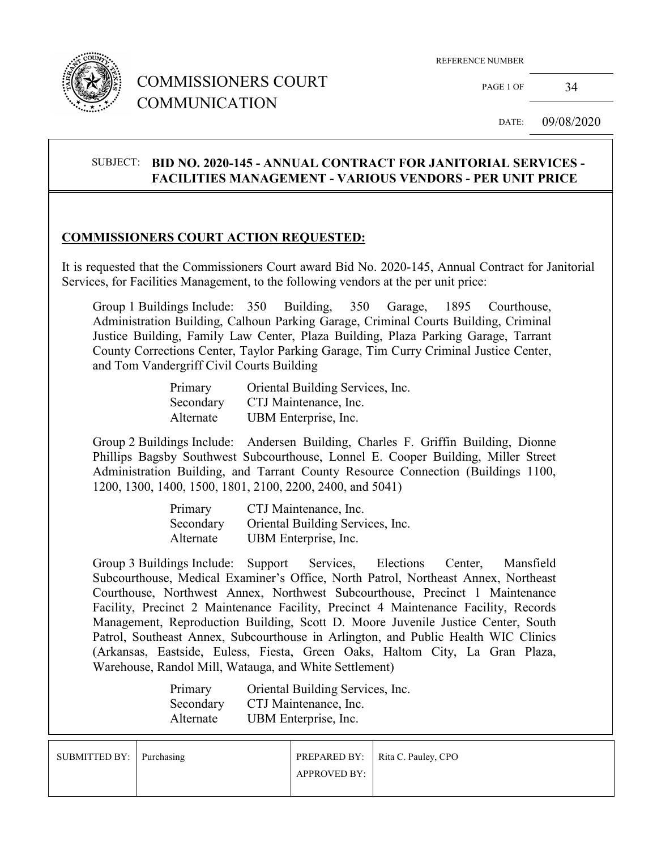

# COMMISSIONERS COURT COMMUNICATION

REFERENCE NUMBER

PAGE 1 OF 34

DATE: 09/08/2020

### SUBJECT: **BID NO. 2020-145 - ANNUAL CONTRACT FOR JANITORIAL SERVICES - FACILITIES MANAGEMENT - VARIOUS VENDORS - PER UNIT PRICE**

### **COMMISSIONERS COURT ACTION REQUESTED:**

It is requested that the Commissioners Court award Bid No. 2020-145, Annual Contract for Janitorial Services, for Facilities Management, to the following vendors at the per unit price:

Group 1 Buildings Include: 350 Building, 350 Garage, 1895 Courthouse, Administration Building, Calhoun Parking Garage, Criminal Courts Building, Criminal Justice Building, Family Law Center, Plaza Building, Plaza Parking Garage, Tarrant County Corrections Center, Taylor Parking Garage, Tim Curry Criminal Justice Center, and Tom Vandergriff Civil Courts Building

| Primary   | Oriental Building Services, Inc. |
|-----------|----------------------------------|
| Secondary | CTJ Maintenance, Inc.            |
| Alternate | UBM Enterprise, Inc.             |

Group 2 Buildings Include: Andersen Building, Charles F. Griffin Building, Dionne Phillips Bagsby Southwest Subcourthouse, Lonnel E. Cooper Building, Miller Street Administration Building, and Tarrant County Resource Connection (Buildings 1100, 1200, 1300, 1400, 1500, 1801, 2100, 2200, 2400, and 5041)

| Primary   | CTJ Maintenance, Inc.            |
|-----------|----------------------------------|
| Secondary | Oriental Building Services, Inc. |
| Alternate | UBM Enterprise, Inc.             |

Group 3 Buildings Include: Support Services, Elections Center, Mansfield Subcourthouse, Medical Examiner's Office, North Patrol, Northeast Annex, Northeast Courthouse, Northwest Annex, Northwest Subcourthouse, Precinct 1 Maintenance Facility, Precinct 2 Maintenance Facility, Precinct 4 Maintenance Facility, Records Management, Reproduction Building, Scott D. Moore Juvenile Justice Center, South Patrol, Southeast Annex, Subcourthouse in Arlington, and Public Health WIC Clinics (Arkansas, Eastside, Euless, Fiesta, Green Oaks, Haltom City, La Gran Plaza, Warehouse, Randol Mill, Watauga, and White Settlement)

| Primary   | Oriental Building Services, Inc. |
|-----------|----------------------------------|
| Secondary | CTJ Maintenance, Inc.            |
| Alternate | UBM Enterprise, Inc.             |

| SUBMITTED BY: Purchasing |                     | <b>PREPARED BY:</b> Rita C. Pauley, CPO |
|--------------------------|---------------------|-----------------------------------------|
|                          | <b>APPROVED BY:</b> |                                         |
|                          |                     |                                         |